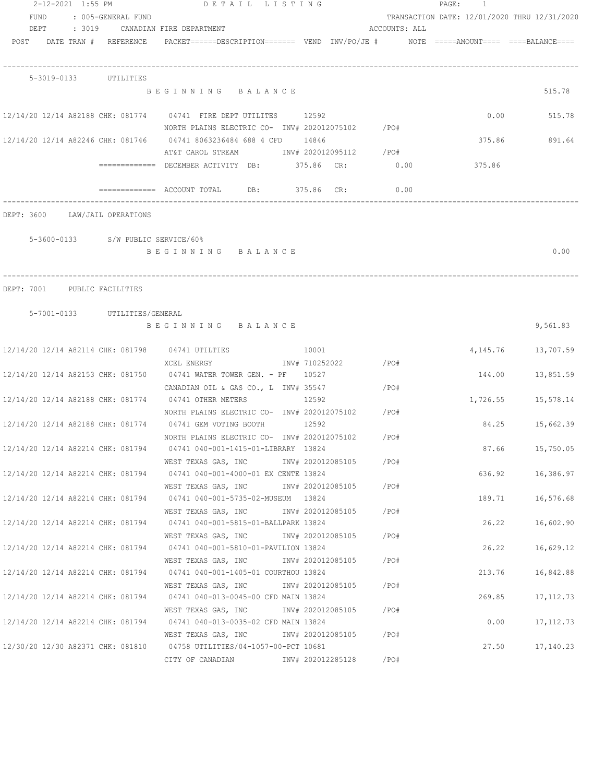|      | 2-12-2021 1:55 PM                  | DETAIL LISTING                                                                            |                     |               | PAGE:<br>$\mathbf{1}$                        |                        |
|------|------------------------------------|-------------------------------------------------------------------------------------------|---------------------|---------------|----------------------------------------------|------------------------|
| FUND | : 005-GENERAL FUND                 |                                                                                           |                     |               | TRANSACTION DATE: 12/01/2020 THRU 12/31/2020 |                        |
| DEPT |                                    | : 3019 CANADIAN FIRE DEPARTMENT                                                           |                     | ACCOUNTS: ALL |                                              |                        |
|      | POST DATE TRAN # REFERENCE         | PACKET======DESCRIPTION======= VEND INV/PO/JE #     NOTE =====AMOUNT====  ====BALANCE==== |                     |               |                                              |                        |
|      |                                    |                                                                                           |                     |               |                                              |                        |
|      | 5-3019-0133 UTILITIES              |                                                                                           |                     |               |                                              |                        |
|      |                                    | BEGINNING BALANCE                                                                         |                     |               |                                              | 515.78                 |
|      |                                    | 12/14/20 12/14 A82188 CHK: 081774 04741 FIRE DEPT UTILITES 12592                          |                     |               | 0.00                                         | 515.78                 |
|      |                                    | NORTH PLAINS ELECTRIC CO- INV# 202012075102 / PO#                                         |                     |               |                                              |                        |
|      |                                    | 12/14/20 12/14 A82246 CHK: 081746 04741 8063236484 688 4 CFD 14846                        |                     |               | 375.86                                       | 891.64                 |
|      |                                    | AT&T CAROL STREAM MW# 202012095112 / PO#                                                  |                     |               |                                              |                        |
|      |                                    | =============   DECEMBER ACTIVITY   DB:               375.86     CR:                      |                     | 0.00          | 375.86                                       |                        |
|      |                                    |                                                                                           |                     | 0.00          |                                              |                        |
|      | DEPT: 3600 LAW/JAIL OPERATIONS     |                                                                                           |                     |               |                                              |                        |
|      | 5-3600-0133 S/W PUBLIC SERVICE/60% |                                                                                           |                     |               |                                              |                        |
|      |                                    | BEGINNING BALANCE                                                                         |                     |               |                                              | 0.00                   |
|      |                                    |                                                                                           |                     |               |                                              |                        |
|      |                                    |                                                                                           |                     |               |                                              |                        |
|      | DEPT: 7001 PUBLIC FACILITIES       |                                                                                           |                     |               |                                              |                        |
|      | 5-7001-0133 UTILITIES/GENERAL      |                                                                                           |                     |               |                                              |                        |
|      |                                    | BEGINNING BALANCE                                                                         |                     |               |                                              | 9,561.83               |
|      |                                    | 12/14/20 12/14 A82114 CHK: 081798 04741 UTILTIES                                          | 10001               |               |                                              | 4, 145. 76 13, 707. 59 |
|      |                                    | XCEL ENERGY                                                                               | INV# 710252022 /PO# |               |                                              |                        |
|      |                                    | 12/14/20 12/14 A82153 CHK: 081750 04741 WATER TOWER GEN. - PF 10527                       |                     |               |                                              | 144.00 13,851.59       |
|      |                                    | CANADIAN OIL & GAS CO., L INV# 35547                                                      | $\angle$ PO#        |               |                                              |                        |
|      |                                    | 12/14/20 12/14 A82188 CHK: 081774 04741 OTHER METERS                                      | 12592               |               |                                              | 1,726.55 15,578.14     |
|      |                                    | NORTH PLAINS ELECTRIC CO- INV# 202012075102 / PO#                                         |                     |               |                                              |                        |
|      |                                    | 12/14/20 12/14 A82188 CHK: 081774 04741 GEM VOTING BOOTH                                  | 12592               |               |                                              | 84.25 15,662.39        |
|      |                                    | NORTH PLAINS ELECTRIC CO- INV# 202012075102                                               |                     | /PO#          |                                              |                        |
|      | 12/14/20 12/14 A82214 CHK: 081794  | 04741 040-001-1415-01-LIBRARY 13824                                                       |                     |               | 87.66                                        | 15,750.05              |
|      |                                    | WEST TEXAS GAS, INC                                                                       | INV# 202012085105   | /PO#          |                                              |                        |
|      | 12/14/20 12/14 A82214 CHK: 081794  | 04741 040-001-4000-01 EX CENTE 13824                                                      |                     |               | 636.92                                       | 16,386.97              |
|      | 12/14/20 12/14 A82214 CHK: 081794  | WEST TEXAS GAS, INC<br>04741 040-001-5735-02-MUSEUM 13824                                 | INV# 202012085105   | /PO#          | 189.71                                       | 16,576.68              |
|      |                                    | WEST TEXAS GAS, INC                                                                       | INV# 202012085105   | /PO#          |                                              |                        |
|      | 12/14/20 12/14 A82214 CHK: 081794  | 04741 040-001-5815-01-BALLPARK 13824                                                      |                     |               | 26.22                                        | 16,602.90              |
|      |                                    | WEST TEXAS GAS, INC                                                                       | INV# 202012085105   | /PO#          |                                              |                        |
|      | 12/14/20 12/14 A82214 CHK: 081794  | 04741 040-001-5810-01-PAVILION 13824                                                      |                     |               | 26.22                                        | 16,629.12              |
|      |                                    | WEST TEXAS GAS, INC                                                                       | INV# 202012085105   | /PO#          |                                              |                        |
|      | 12/14/20 12/14 A82214 CHK: 081794  | 04741 040-001-1405-01 COURTHOU 13824                                                      |                     |               | 213.76                                       | 16,842.88              |
|      |                                    | WEST TEXAS GAS, INC                                                                       | INV# 202012085105   | /PO#          |                                              |                        |
|      | 12/14/20 12/14 A82214 CHK: 081794  | 04741 040-013-0045-00 CFD MAIN 13824                                                      |                     |               | 269.85                                       | 17, 112.73             |
|      |                                    | WEST TEXAS GAS, INC                                                                       | INV# 202012085105   | /PO#          |                                              |                        |

12/14/20 12/14 A82214 CHK: 081794 04741 040-013-0035-02 CFD MAIN 13824 0.00 17,112.73 WEST TEXAS GAS, INC INV# 202012085105 /PO# 12/30/20 12/30 A82371 CHK: 081810 04758 UTILITIES/04-1057-00-PCT 10681 27.50 17,140.23 CITY OF CANADIAN INV# 202012285128 /PO#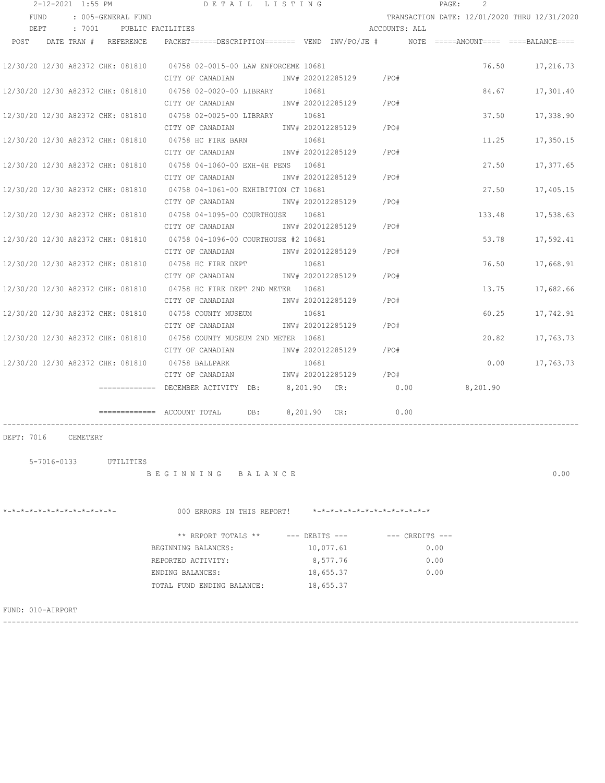|                                   |                   | 2-12-2021 1:55 PM |                       | DETAIL LISTING                                                                                 |              |                    |                               |                     | PAGE:<br>2                                   |           |
|-----------------------------------|-------------------|-------------------|-----------------------|------------------------------------------------------------------------------------------------|--------------|--------------------|-------------------------------|---------------------|----------------------------------------------|-----------|
| FUND                              |                   |                   | : 005-GENERAL FUND    |                                                                                                |              |                    |                               |                     | TRANSACTION DATE: 12/01/2020 THRU 12/31/2020 |           |
| DEPT                              |                   | : 7001            |                       | PUBLIC FACILITIES                                                                              |              |                    | ACCOUNTS: ALL                 |                     |                                              |           |
| POST                              |                   |                   | DATE TRAN # REFERENCE | $PACKET == == = DESCRIPTION == == == $ VEND $INV/PO/JE$ # NOTE =====AMOUNT==== ====BALANCE==== |              |                    |                               |                     |                                              |           |
|                                   |                   |                   |                       |                                                                                                |              |                    |                               |                     |                                              |           |
|                                   |                   |                   |                       | 12/30/20 12/30 A82372 CHK: 081810 04758 02-0015-00 LAW ENFORCEME 10681                         |              |                    |                               |                     | 76.50                                        | 17,216.73 |
|                                   |                   |                   |                       | CITY OF CANADIAN                                                                               |              | INV# 202012285129  | /PO#                          |                     |                                              |           |
| 12/30/20 12/30 A82372 CHK: 081810 |                   |                   |                       | 04758 02-0020-00 LIBRARY                                                                       | 10681        |                    |                               |                     | 84.67                                        | 17,301.40 |
|                                   |                   |                   |                       | CITY OF CANADIAN                                                                               |              | INV# 202012285129  | /PO#                          |                     |                                              |           |
| 12/30/20 12/30 A82372 CHK: 081810 |                   |                   |                       | 04758 02-0025-00 LIBRARY                                                                       | 10681        |                    |                               |                     | 37.50                                        | 17,338.90 |
|                                   |                   |                   |                       | CITY OF CANADIAN                                                                               |              | INV# 202012285129  | /PO#                          |                     |                                              |           |
| 12/30/20 12/30 A82372 CHK: 081810 |                   |                   |                       | 04758 HC FIRE BARN                                                                             | 10681        |                    |                               |                     | 11.25                                        | 17,350.15 |
|                                   |                   |                   |                       | CITY OF CANADIAN                                                                               |              | INV# 202012285129  | /PO#                          |                     |                                              |           |
| 12/30/20 12/30 A82372 CHK: 081810 |                   |                   |                       | 04758 04-1060-00 EXH-4H PENS                                                                   | 10681        |                    |                               |                     | 27.50                                        | 17,377.65 |
|                                   |                   |                   |                       | CITY OF CANADIAN                                                                               |              | INV# 202012285129  | /PO#                          |                     |                                              |           |
| 12/30/20 12/30 A82372 CHK: 081810 |                   |                   |                       | 04758 04-1061-00 EXHIBITION CT 10681                                                           |              |                    |                               |                     | 27.50                                        | 17,405.15 |
|                                   |                   |                   |                       | CITY OF CANADIAN                                                                               |              | INV# 202012285129  | /PO#                          |                     |                                              |           |
| 12/30/20 12/30 A82372 CHK: 081810 |                   |                   |                       | 04758 04-1095-00 COURTHOUSE                                                                    | 10681        |                    |                               |                     | 133.48                                       | 17,538.63 |
|                                   |                   |                   |                       | CITY OF CANADIAN                                                                               |              | INV# 202012285129  | /PO#                          |                     |                                              |           |
| 12/30/20 12/30 A82372 CHK: 081810 |                   |                   |                       | 04758 04-1096-00 COURTHOUSE #2 10681                                                           |              |                    |                               |                     | 53.78                                        | 17,592.41 |
|                                   |                   |                   |                       | CITY OF CANADIAN                                                                               |              | INV# 202012285129  | /PO#                          |                     |                                              |           |
| 12/30/20 12/30 A82372 CHK: 081810 |                   |                   |                       | 04758 HC FIRE DEPT                                                                             | 10681        |                    |                               |                     | 76.50                                        | 17,668.91 |
|                                   |                   |                   |                       | CITY OF CANADIAN                                                                               |              | INV# 202012285129  | /PO#                          |                     |                                              |           |
| 12/30/20 12/30 A82372 CHK: 081810 |                   |                   |                       | 04758 HC FIRE DEPT 2ND METER 10681                                                             |              |                    |                               |                     | 13.75                                        | 17,682.66 |
|                                   |                   |                   |                       | CITY OF CANADIAN                                                                               |              | INV# 202012285129  | /PO#                          |                     |                                              |           |
| 12/30/20 12/30 A82372 CHK: 081810 |                   |                   |                       | 04758 COUNTY MUSEUM                                                                            | 10681        |                    |                               |                     | 60.25                                        | 17,742.91 |
|                                   |                   |                   |                       | CITY OF CANADIAN                                                                               |              | INV# 202012285129  | /PO#                          |                     |                                              |           |
|                                   |                   |                   |                       | 12/30/20 12/30 A82372 CHK: 081810 04758 COUNTY MUSEUM 2ND METER 10681                          |              |                    |                               |                     | 20.82                                        | 17,763.73 |
|                                   |                   |                   |                       | CITY OF CANADIAN                                                                               |              | INV# 202012285129  | /PO#                          |                     |                                              |           |
| 12/30/20 12/30 A82372 CHK: 081810 |                   |                   |                       | 04758 BALLPARK                                                                                 | 10681        |                    |                               |                     | 0.00                                         | 17,763.73 |
|                                   |                   |                   |                       | CITY OF CANADIAN                                                                               |              | INV# 202012285129  | /PO#                          |                     |                                              |           |
|                                   |                   |                   |                       | ========== DECEMBER ACTIVITY DB:                                                               | 8,201.90 CR: |                    | 0.00                          |                     | 8,201.90                                     |           |
|                                   |                   |                   |                       |                                                                                                |              |                    |                               |                     |                                              |           |
|                                   |                   |                   |                       | DB:<br>$\equiv$ ============ ACCOUNT TOTAL                                                     | 8,201.90 CR: |                    | 0.00                          |                     |                                              |           |
|                                   |                   |                   |                       |                                                                                                |              |                    |                               |                     |                                              |           |
| DEPT: 7016                        |                   | CEMETERY          |                       |                                                                                                |              |                    |                               |                     |                                              |           |
|                                   | $5 - 7016 - 0133$ |                   |                       |                                                                                                |              |                    |                               |                     |                                              |           |
|                                   |                   |                   | UTILITIES             | BEGINNING BALANCE                                                                              |              |                    |                               |                     |                                              | 0.00      |
|                                   |                   |                   |                       |                                                                                                |              |                    |                               |                     |                                              |           |
|                                   |                   |                   |                       |                                                                                                |              |                    |                               |                     |                                              |           |
| *-*-*-*-*-*-*-*-*-*-*-*-*-*-      |                   |                   |                       | 000 ERRORS IN THIS REPORT!                                                                     |              |                    | $x-x-x-x-x-x-x-x-x-x-x-x-x-x$ |                     |                                              |           |
|                                   |                   |                   |                       |                                                                                                |              |                    |                               |                     |                                              |           |
|                                   |                   |                   |                       | ** REPORT TOTALS **                                                                            |              | $---$ DEBITS $---$ |                               | $---$ CREDITS $---$ |                                              |           |
|                                   |                   |                   |                       | BEGINNING BALANCES:                                                                            |              | 10,077.61          |                               |                     | 0.00                                         |           |
|                                   |                   |                   |                       | REPORTED ACTIVITY:                                                                             |              | 8,577.76           |                               |                     | 0.00                                         |           |
|                                   |                   |                   |                       | ENDING BALANCES:                                                                               |              | 18,655.37          |                               |                     | 0.00                                         |           |

FUND: 010-AIRPORT

------------------------------------------------------------------------------------------------------------------------------------

TOTAL FUND ENDING BALANCE: 18,655.37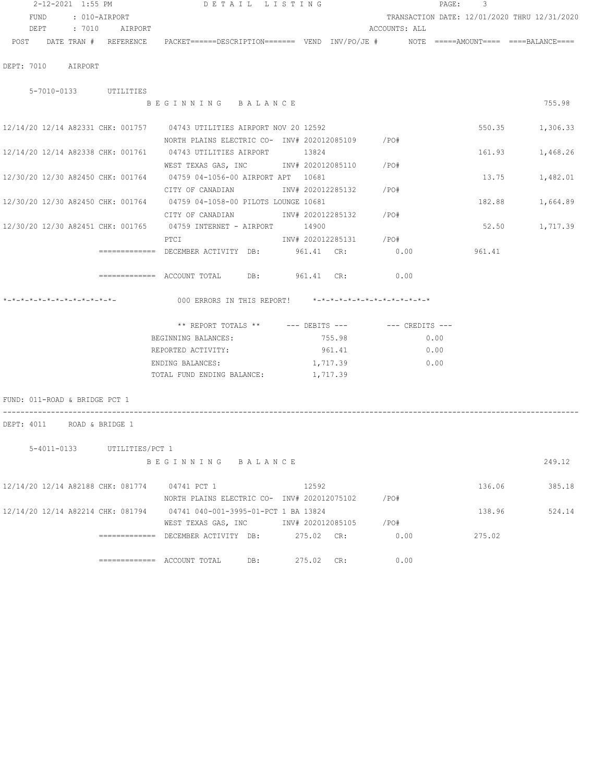| 2-12-2021 1:55 PM                             |               | DETAIL LISTING                                                                                                  |                        |                     | PAGE: 3                                      |                 |
|-----------------------------------------------|---------------|-----------------------------------------------------------------------------------------------------------------|------------------------|---------------------|----------------------------------------------|-----------------|
| FUND                                          | : 010-AIRPORT |                                                                                                                 |                        |                     | TRANSACTION DATE: 12/01/2020 THRU 12/31/2020 |                 |
| DEPT : 7010 AIRPORT                           |               |                                                                                                                 |                        | ACCOUNTS: ALL       |                                              |                 |
|                                               |               | POST DATE TRAN # REFERENCE PACKET======DESCRIPTION======= VEND INV/PO/JE # NOTE =====AMOUNT==== ====BALANCE==== |                        |                     |                                              |                 |
|                                               |               |                                                                                                                 |                        |                     |                                              |                 |
| DEPT: 7010 AIRPORT                            |               |                                                                                                                 |                        |                     |                                              |                 |
| 5-7010-0133 UTILITIES                         |               |                                                                                                                 |                        |                     |                                              |                 |
|                                               |               | BEGINNING BALANCE                                                                                               |                        |                     |                                              | 755.98          |
|                                               |               |                                                                                                                 |                        |                     |                                              |                 |
|                                               |               | 12/14/20 12/14 A82331 CHK: 001757 04743 UTILITIES AIRPORT NOV 20 12592                                          |                        |                     |                                              | 550.35 1,306.33 |
|                                               |               | NORTH PLAINS ELECTRIC CO- INV# 202012085109 / PO#                                                               |                        |                     |                                              |                 |
|                                               |               | 12/14/20 12/14 A82338 CHK: 001761 04743 UTILITIES AIRPORT 13824                                                 |                        |                     | 161.93                                       | 1,468.26        |
|                                               |               | WEST TEXAS GAS, INC MONTH 202012085110 / PO#                                                                    |                        |                     |                                              |                 |
|                                               |               | 12/30/20 12/30 A82450 CHK: 001764 04759 04-1056-00 AIRPORT APT 10681                                            |                        |                     | 13.75                                        | 1,482.01        |
|                                               |               | CITY OF CANADIAN 1NV# 202012285132 / PO#                                                                        |                        |                     |                                              |                 |
|                                               |               | 12/30/20 12/30 A82450 CHK: 001764 04759 04-1058-00 PILOTS LOUNGE 10681                                          |                        |                     | 182.88                                       | 1,664.89        |
|                                               |               | CITY OF CANADIAN MOTHOM INV# 202012285132 / PO#                                                                 |                        |                     |                                              |                 |
|                                               |               | 12/30/20 12/30 A82451 CHK: 001765 04759 INTERNET - AIRPORT 14900                                                |                        |                     | 52.50                                        | 1,717.39        |
|                                               |               | PTCI                                                                                                            | INV# 202012285131 /PO# |                     |                                              |                 |
|                                               |               | ============= DECEMBER ACTIVITY DB: 961.41 CR:                                                                  |                        | 0.00                | 961.41                                       |                 |
|                                               |               | ============ ACCOUNT TOTAL DB: 961.41 CR: 0.00                                                                  |                        |                     |                                              |                 |
|                                               |               |                                                                                                                 |                        |                     |                                              |                 |
| *-*-*-*-*-*-*-*-*-*-*-*-*-                    |               | 000 ERRORS IN THIS REPORT! *-*-*-*-*-*-*-*-*-*-*-*-*-*-                                                         |                        |                     |                                              |                 |
|                                               |               |                                                                                                                 |                        |                     |                                              |                 |
|                                               |               | ** REPORT TOTALS ** --- DEBITS --- -- CREDITS ---                                                               |                        |                     |                                              |                 |
|                                               |               | BEGINNING BALANCES: 755.98                                                                                      |                        | 0.00<br>961.41 0.00 |                                              |                 |
|                                               |               | REPORTED ACTIVITY:                                                                                              |                        |                     |                                              |                 |
|                                               |               | ENDING BALANCES:<br>TOTAL FUND ENDING BALANCE:                                                                  | 1,717.39<br>1,717.39   | 0.00                |                                              |                 |
|                                               |               |                                                                                                                 |                        |                     |                                              |                 |
| FUND: 011-ROAD & BRIDGE PCT 1                 |               |                                                                                                                 |                        |                     |                                              |                 |
|                                               |               |                                                                                                                 |                        |                     |                                              |                 |
| DEPT: 4011 ROAD & BRIDGE 1                    |               |                                                                                                                 |                        |                     |                                              |                 |
|                                               |               |                                                                                                                 |                        |                     |                                              |                 |
| 5-4011-0133 UTILITIES/PCT 1                   |               | BEGINNING BALANCE                                                                                               |                        |                     |                                              | 249.12          |
|                                               |               |                                                                                                                 |                        |                     |                                              |                 |
| 12/14/20 12/14 A82188 CHK: 081774 04741 PCT 1 |               |                                                                                                                 | 12592                  |                     | 136.06                                       | 385.18          |
|                                               |               | NORTH PLAINS ELECTRIC CO- INV# 202012075102 / PO#                                                               |                        |                     |                                              |                 |
|                                               |               | 12/14/20 12/14 A82214 CHK: 081794 04741 040-001-3995-01-PCT 1 BA 13824                                          |                        |                     | 138.96                                       | 524.14          |
|                                               |               | WEST TEXAS GAS, INC                                                                                             | INV# 202012085105 /PO# |                     |                                              |                 |
|                                               |               | ============= DECEMBER ACTIVITY DB: 275.02 CR:                                                                  |                        | 0.00                | 275.02                                       |                 |
|                                               |               |                                                                                                                 |                        |                     |                                              |                 |
|                                               |               | DB:                                                                                                             | 275.02 CR:             | 0.00                |                                              |                 |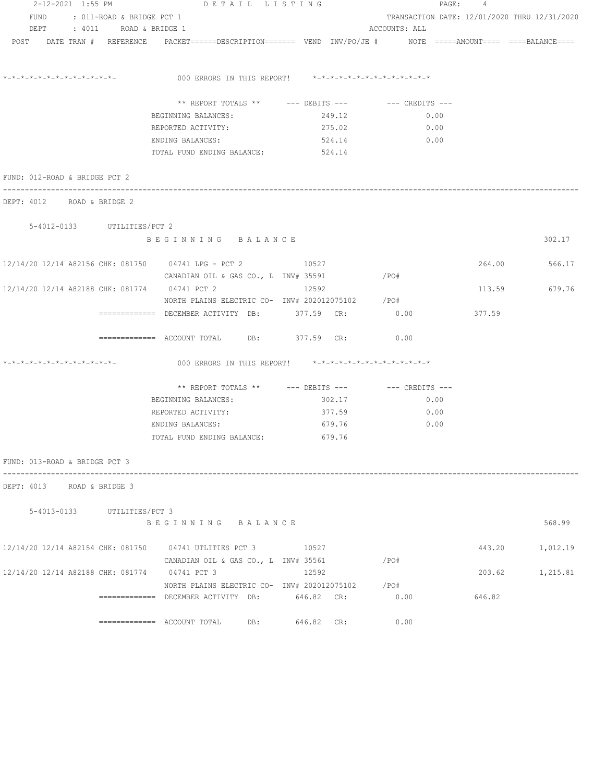|                                               | 2-12-2021 1:55 PM DETAIL LISTING                                                                               |            |                                              | PAGE: 4 |          |
|-----------------------------------------------|----------------------------------------------------------------------------------------------------------------|------------|----------------------------------------------|---------|----------|
| FUND<br>: 011-ROAD & BRIDGE PCT 1             |                                                                                                                |            | TRANSACTION DATE: 12/01/2020 THRU 12/31/2020 |         |          |
| DEPT<br>: 4011 ROAD & BRIDGE 1                |                                                                                                                |            | ACCOUNTS: ALL                                |         |          |
|                                               | POST DATE TRAN # REFERENCE PACKET======DESCRIPTION======= VEND INV/PO/JE # NOTE =====AMOUNT==== ===BALANCE==== |            |                                              |         |          |
| *_*_*_*_*_*_*_*_*_*_*_*_*_*_                  | 000 ERRORS IN THIS REPORT! *-*-*-*-*-*-*-*-*-*-*-*-*-*-                                                        |            |                                              |         |          |
|                                               | ** REPORT TOTALS ** --- DEBITS --- -- -- CREDITS ---                                                           |            |                                              |         |          |
|                                               | BEGINNING BALANCES:                                                                                            | 249.12     | 0.00                                         |         |          |
|                                               | REPORTED ACTIVITY:                                                                                             | 275.02     | 0.00                                         |         |          |
|                                               | ENDING BALANCES:                                                                                               | 524.14     | 0.00                                         |         |          |
|                                               | TOTAL FUND ENDING BALANCE:                                                                                     | 524.14     |                                              |         |          |
| FUND: 012-ROAD & BRIDGE PCT 2                 |                                                                                                                |            |                                              |         |          |
| DEPT: 4012 ROAD & BRIDGE 2                    |                                                                                                                |            |                                              |         |          |
| 5-4012-0133 UTILITIES/PCT 2                   |                                                                                                                |            |                                              |         |          |
|                                               | BEGINNING BALANCE                                                                                              |            |                                              |         | 302.17   |
|                                               | 12/14/20 12/14 A82156 CHK: 081750 04741 LPG - PCT 2 10527                                                      |            |                                              | 264.00  | 566.17   |
|                                               | CANADIAN OIL & GAS CO., L INV# 35591                                                                           |            | /PO#                                         |         |          |
| 12/14/20 12/14 A82188 CHK: 081774 04741 PCT 2 |                                                                                                                | 12592      |                                              | 113.59  | 679.76   |
|                                               | NORTH PLAINS ELECTRIC CO- INV# 202012075102 / PO#                                                              |            |                                              |         |          |
|                                               | ============= DECEMBER ACTIVITY DB: 377.59 CR:                                                                 |            | 0.00                                         | 377.59  |          |
|                                               | ============= ACCOUNT TOTAL DB: 377.59 CR: 0.00                                                                |            |                                              |         |          |
| *_*_*_*_*_*_*_*_*_*_*_*_*_*_*_                | 000 ERRORS IN THIS REPORT! *-*-*-*-*-*-*-*-*-*-*-*-*-*-                                                        |            |                                              |         |          |
|                                               | ** REPORT TOTALS ** --- DEBITS --- -- CREDITS ---                                                              |            |                                              |         |          |
|                                               | BEGINNING BALANCES:                                                                                            | 302.17     | 0.00                                         |         |          |
|                                               | REPORTED ACTIVITY:                                                                                             | 377.59     | 0.00                                         |         |          |
|                                               | ENDING BALANCES:                                                                                               | 679.76     | 0.00                                         |         |          |
|                                               | TOTAL FUND ENDING BALANCE:                                                                                     | 679.76     |                                              |         |          |
| FUND: 013-ROAD & BRIDGE PCT 3                 |                                                                                                                |            |                                              |         |          |
| DEPT: 4013 ROAD & BRIDGE 3                    |                                                                                                                |            |                                              |         |          |
| 5-4013-0133 UTILITIES/PCT 3                   |                                                                                                                |            |                                              |         |          |
|                                               | BEGINNING BALANCE                                                                                              |            |                                              |         | 568.99   |
|                                               | 12/14/20 12/14 A82154 CHK: 081750 04741 UTLITIES PCT 3 10527                                                   |            |                                              | 443.20  | 1,012.19 |
|                                               | CANADIAN OIL & GAS CO., L INV# 35561                                                                           |            | /PO#                                         |         |          |
| 12/14/20 12/14 A82188 CHK: 081774 04741 PCT 3 |                                                                                                                | 12592      |                                              | 203.62  | 1,215.81 |
|                                               | NORTH PLAINS ELECTRIC CO- INV# 202012075102                                                                    |            | /PO#                                         |         |          |
|                                               | ============ DECEMBER ACTIVITY DB:                                                                             | 646.82 CR: | 0.00                                         | 646.82  |          |
|                                               | ============= ACCOUNT TOTAL<br>DB:                                                                             | 646.82 CR: | 0.00                                         |         |          |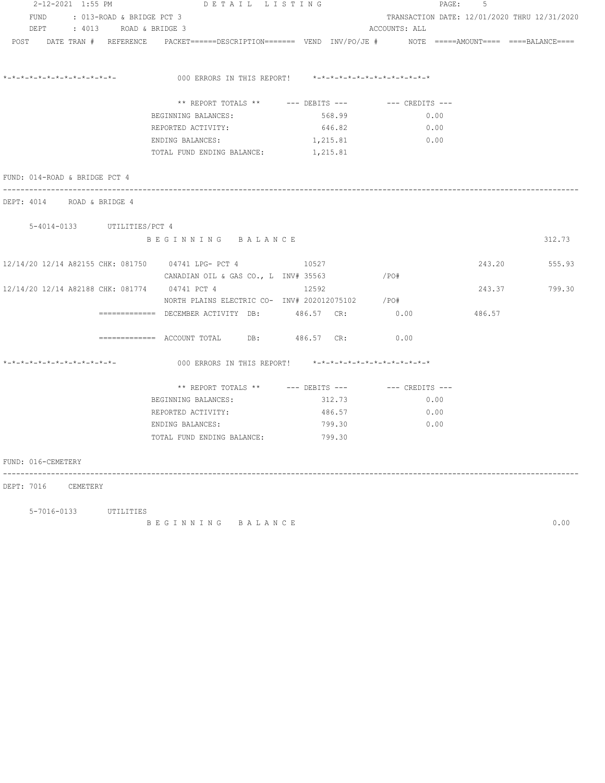| 2-12-2021 1:55 PM                                             | DETAIL LISTING                                                                                                 |                                  |               | PAGE:<br>5                                   |        |
|---------------------------------------------------------------|----------------------------------------------------------------------------------------------------------------|----------------------------------|---------------|----------------------------------------------|--------|
| FUND<br>: 013-ROAD & BRIDGE PCT 3                             |                                                                                                                |                                  |               | TRANSACTION DATE: 12/01/2020 THRU 12/31/2020 |        |
| DEPT<br>: 4013 ROAD & BRIDGE 3                                |                                                                                                                |                                  | ACCOUNTS: ALL |                                              |        |
|                                                               | POST DATE TRAN # REFERENCE PACKET=====DESCRIPTION======= VEND INV/PO/JE # NOTE =====AMOUNT==== ====BALANCE==== |                                  |               |                                              |        |
| *_*_*_*_*_*_*_*_*_*_*_*_*_*_*_                                | 000 ERRORS IN THIS REPORT! *-*-*-*-*-*-*-*-*-*-*-*-*-*-                                                        |                                  |               |                                              |        |
|                                                               | ** REPORT TOTALS **                                                                                            | --- DEBITS --- -- -- CREDITS --- |               |                                              |        |
|                                                               | BEGINNING BALANCES:                                                                                            | 568.99                           | 0.00          |                                              |        |
|                                                               | REPORTED ACTIVITY:                                                                                             | 646.82                           | 0.00          |                                              |        |
|                                                               | ENDING BALANCES:                                                                                               | 1,215.81                         | 0.00          |                                              |        |
|                                                               | TOTAL FUND ENDING BALANCE: 1, 215.81                                                                           |                                  |               |                                              |        |
| FUND: 014-ROAD & BRIDGE PCT 4                                 |                                                                                                                |                                  |               |                                              |        |
| -------------------------------<br>DEPT: 4014 ROAD & BRIDGE 4 |                                                                                                                |                                  |               |                                              |        |
| 5-4014-0133 UTILITIES/PCT 4                                   |                                                                                                                |                                  |               |                                              |        |
|                                                               | BEGINNING BALANCE                                                                                              |                                  |               |                                              | 312.73 |
|                                                               |                                                                                                                |                                  |               |                                              |        |
|                                                               | 12/14/20 12/14 A82155 CHK: 081750 04741 LPG- PCT 4 10527                                                       |                                  |               | 243.20                                       | 555.93 |
|                                                               | CANADIAN OIL & GAS CO., L INV# 35563                                                                           |                                  | $/$ PO#       |                                              |        |
| 12/14/20 12/14 A82188 CHK: 081774 04741 PCT 4                 |                                                                                                                | 12592                            |               | 243.37                                       | 799.30 |
|                                                               | NORTH PLAINS ELECTRIC CO- INV# 202012075102                                                                    |                                  | /PO#          |                                              |        |
|                                                               | ============= DECEMBER ACTIVITY DB:                                                                            | 486.57 CR:                       | 0.00          | 486.57                                       |        |
|                                                               |                                                                                                                |                                  | 0.00          |                                              |        |
| *-*-*-*-*-*-*-*-*-*-*-*-*-*-                                  | 000 ERRORS IN THIS REPORT! *-*-*-*-*-*-*-*-*-*-*-*-*-*-                                                        |                                  |               |                                              |        |
|                                                               | ** REPORT TOTALS ** --- DEBITS --- -- -- CREDITS ---                                                           |                                  |               |                                              |        |
|                                                               | BEGINNING BALANCES:                                                                                            | 312.73                           | 0.00          |                                              |        |
|                                                               | REPORTED ACTIVITY:                                                                                             | 486.57                           | 0.00          |                                              |        |
|                                                               | ENDING BALANCES:                                                                                               | 799.30                           | 0.00          |                                              |        |
|                                                               | TOTAL FUND ENDING BALANCE:                                                                                     | 799.30                           |               |                                              |        |
|                                                               |                                                                                                                |                                  |               |                                              |        |
| FUND: 016-CEMETERY                                            |                                                                                                                |                                  |               |                                              |        |
| DEPT: 7016 CEMETERY                                           |                                                                                                                |                                  |               |                                              |        |
|                                                               |                                                                                                                |                                  |               |                                              |        |

5-7016-0133 UTILITIES

B E G I N N I N G B A L A N C E 0.00